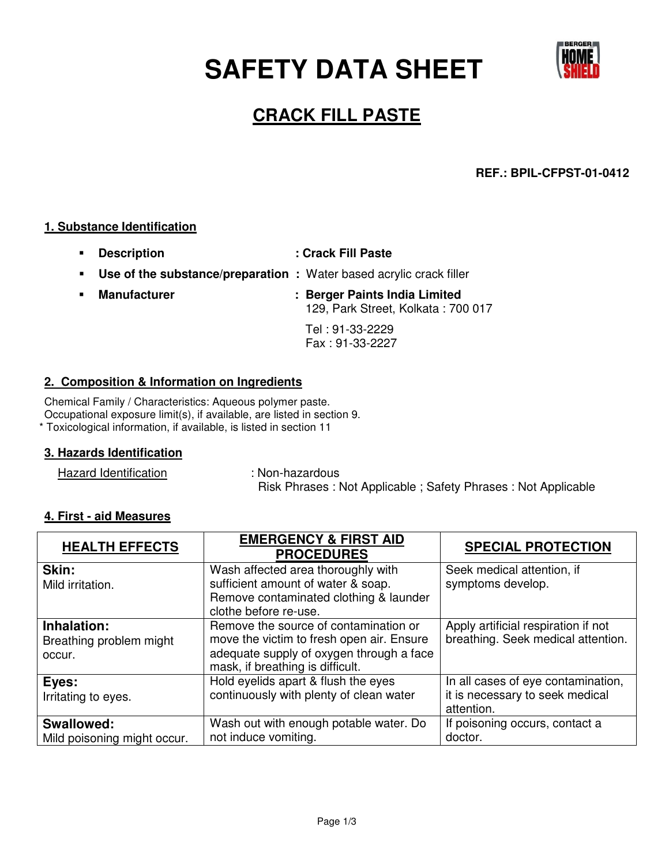**SAFETY DATA SHEET** 



# **CRACK FILL PASTE**

# **REF.: BPIL-CFPST-01-0412**

#### **1. Substance Identification**

- **Description : Crack Fill Paste**
- **Use of the substance/preparation : Water based acrylic crack filler**
- **Manufacturer : Berger Paints India Limited** 129, Park Street, Kolkata : 700 017

 Tel : 91-33-2229 Fax : 91-33-2227

### **2. Composition & Information on Ingredients**

Chemical Family / Characteristics: Aqueous polymer paste. Occupational exposure limit(s), if available, are listed in section 9. \* Toxicological information, if available, is listed in section 11

# **3. Hazards Identification**

Hazard Identification : Non-hazardous

Risk Phrases : Not Applicable ; Safety Phrases : Not Applicable

#### **4. First - aid Measures**

| <b>HEALTH EFFECTS</b>                            | <b>EMERGENCY &amp; FIRST AID</b><br><b>PROCEDURES</b>                                                                                                              | <b>SPECIAL PROTECTION</b>                                                           |
|--------------------------------------------------|--------------------------------------------------------------------------------------------------------------------------------------------------------------------|-------------------------------------------------------------------------------------|
| Skin:<br>Mild irritation.                        | Wash affected area thoroughly with<br>sufficient amount of water & soap.<br>Remove contaminated clothing & launder<br>clothe before re-use.                        | Seek medical attention, if<br>symptoms develop.                                     |
| Inhalation:<br>Breathing problem might<br>occur. | Remove the source of contamination or<br>move the victim to fresh open air. Ensure<br>adequate supply of oxygen through a face<br>mask, if breathing is difficult. | Apply artificial respiration if not<br>breathing. Seek medical attention.           |
| Eyes:<br>Irritating to eyes.                     | Hold eyelids apart & flush the eyes<br>continuously with plenty of clean water                                                                                     | In all cases of eye contamination,<br>it is necessary to seek medical<br>attention. |
| <b>Swallowed:</b><br>Mild poisoning might occur. | Wash out with enough potable water. Do<br>not induce vomiting.                                                                                                     | If poisoning occurs, contact a<br>doctor.                                           |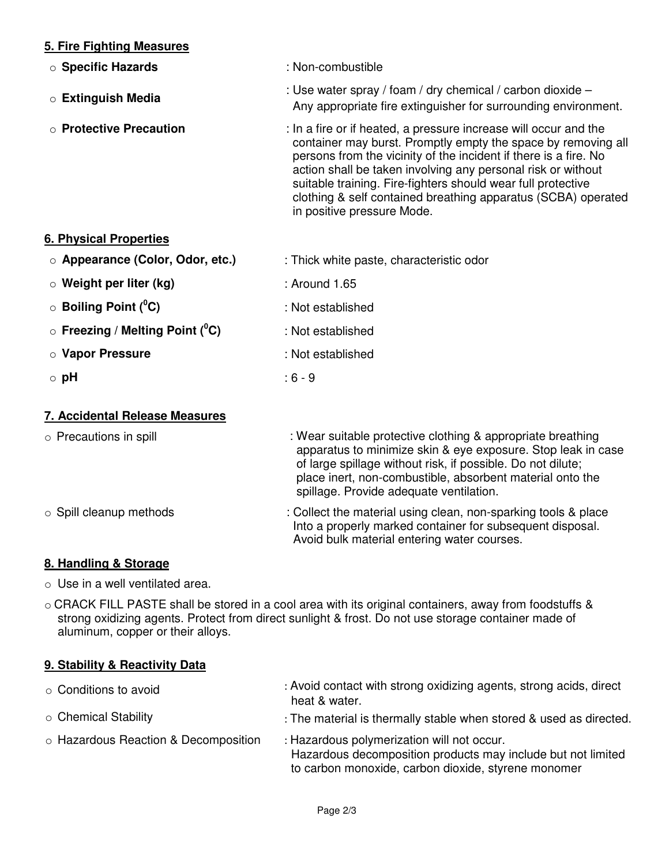# **5. Fire Fighting Measures**

o **Specific Hazards** : Non-combustible <sup>o</sup> **Extinguish Media** : Use water spray / foam / dry chemical / carbon dioxide – Any appropriate fire extinguisher for surrounding environment. o **Protective Precaution** : In a fire or if heated, a pressure increase will occur and the container may burst. Promptly empty the space by removing all persons from the vicinity of the incident if there is a fire. No action shall be taken involving any personal risk or without suitable training. Fire-fighters should wear full protective clothing & self contained breathing apparatus (SCBA) operated in positive pressure Mode.

### **6. Physical Properties**

| ○ Appearance (Color, Odor, etc.)                   | : Thick white paste, characteristic odor |
|----------------------------------------------------|------------------------------------------|
| $\circ$ Weight per liter (kg)                      | : Around 1.65                            |
| $\circ$ Boiling Point ( <sup>o</sup> C)            | : Not established                        |
| $\circ$ Freezing / Melting Point ( <sup>o</sup> C) | : Not established                        |
| ○ Vapor Pressure                                   | : Not established                        |

o **pH** : 6 - 9

#### **7. Accidental Release Measures**

| $\circ$ Precautions in spill  | : Wear suitable protective clothing & appropriate breathing<br>apparatus to minimize skin & eye exposure. Stop leak in case<br>of large spillage without risk, if possible. Do not dilute;<br>place inert, non-combustible, absorbent material onto the<br>spillage. Provide adequate ventilation. |
|-------------------------------|----------------------------------------------------------------------------------------------------------------------------------------------------------------------------------------------------------------------------------------------------------------------------------------------------|
| $\circ$ Spill cleanup methods | : Collect the material using clean, non-sparking tools & place<br>Into a properly marked container for subsequent disposal.                                                                                                                                                                        |

Avoid bulk material entering water courses.

# **8. Handling & Storage**

 $\circ$  Use in a well ventilated area.

**9. Stability & Reactivity Data**

o CRACK FILL PASTE shall be stored in a cool area with its original containers, away from foodstuffs & strong oxidizing agents. Protect from direct sunlight & frost. Do not use storage container made of aluminum, copper or their alloys.

| ○ Conditions to avoid                | : Avoid contact with strong oxidizing agents, strong acids, direct<br>heat & water.                                                                               |
|--------------------------------------|-------------------------------------------------------------------------------------------------------------------------------------------------------------------|
| ○ Chemical Stability                 | : The material is thermally stable when stored & used as directed.                                                                                                |
| ○ Hazardous Reaction & Decomposition | : Hazardous polymerization will not occur.<br>Hazardous decomposition products may include but not limited<br>to carbon monoxide, carbon dioxide, styrene monomer |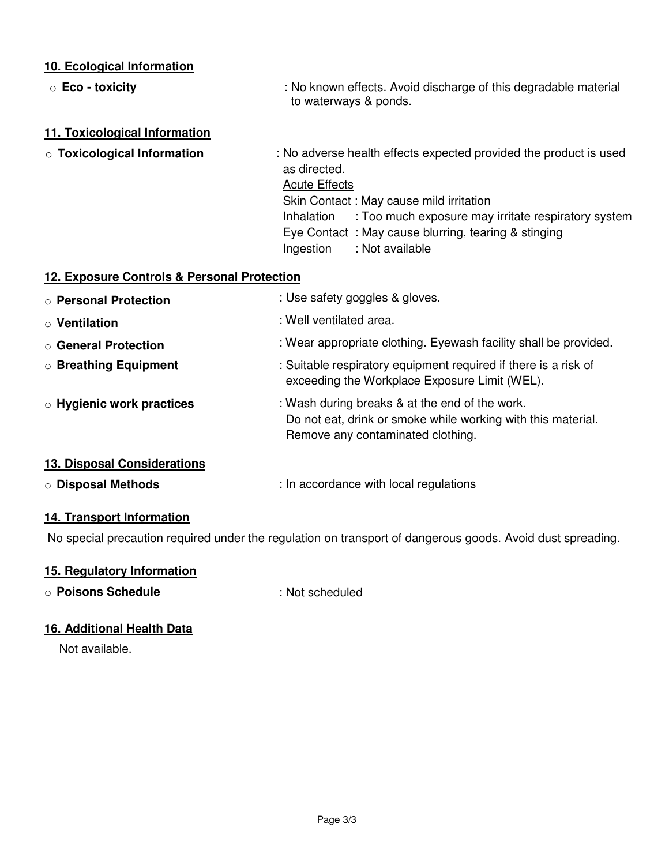# **10. Ecological Information**

| $\circ$ Eco - toxicity                                   | : No known effects. Avoid discharge of this degradable material<br>to waterways & ponds.                                                                                                                                                                                                                      |
|----------------------------------------------------------|---------------------------------------------------------------------------------------------------------------------------------------------------------------------------------------------------------------------------------------------------------------------------------------------------------------|
| 11. Toxicological Information                            |                                                                                                                                                                                                                                                                                                               |
| <b>o Toxicological Information</b>                       | : No adverse health effects expected provided the product is used<br>as directed.<br><b>Acute Effects</b><br>Skin Contact: May cause mild irritation<br>Inhalation : Too much exposure may irritate respiratory system<br>Eye Contact: May cause blurring, tearing & stinging<br>: Not available<br>Ingestion |
| 12. Exposure Controls & Personal Protection              |                                                                                                                                                                                                                                                                                                               |
| ○ Personal Protection                                    | : Use safety goggles & gloves.                                                                                                                                                                                                                                                                                |
| $\circ$ Ventilation                                      | : Well ventilated area.                                                                                                                                                                                                                                                                                       |
| ○ General Protection                                     | : Wear appropriate clothing. Eyewash facility shall be provided.                                                                                                                                                                                                                                              |
| <b>O Breathing Equipment</b>                             | : Suitable respiratory equipment required if there is a risk of<br>exceeding the Workplace Exposure Limit (WEL).                                                                                                                                                                                              |
| $\circ$ Hygienic work practices                          | : Wash during breaks & at the end of the work.<br>Do not eat, drink or smoke while working with this material.<br>Remove any contaminated clothing.                                                                                                                                                           |
| 13. Disposal Considerations<br><b>O Disposal Methods</b> | : In accordance with local regulations                                                                                                                                                                                                                                                                        |

# **14. Transport Information**

No special precaution required under the regulation on transport of dangerous goods. Avoid dust spreading.

# **15. Regulatory Information**

o **Poisons Schedule** : Not scheduled

# **16. Additional Health Data**

Not available.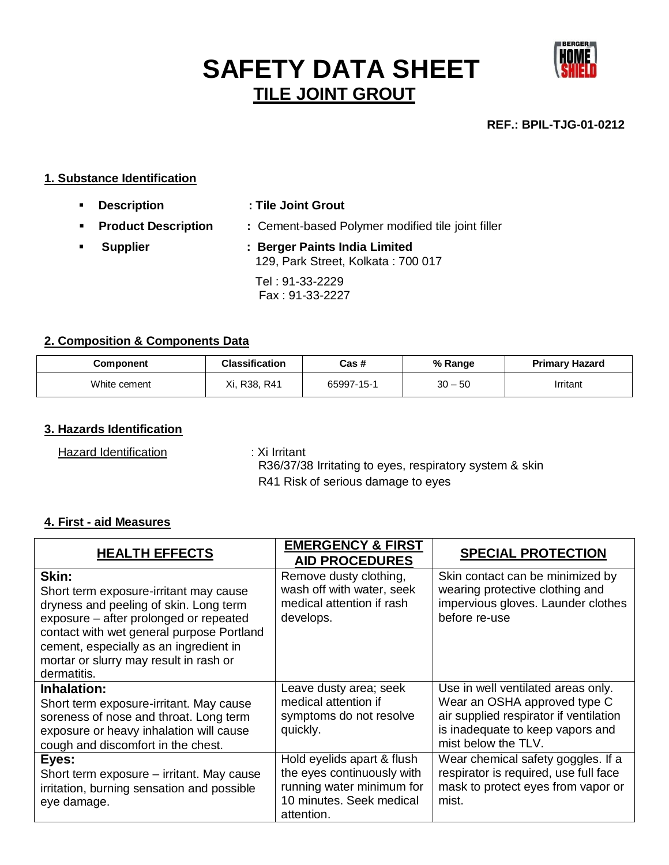# **SAFETY DATA SHEET TILE JOINT GROUT**



**REF.: BPIL-TJG-01-0212**

#### **1. Substance Identification**

- **Description : Tile Joint Grout Product Description : Cement-based Polymer modified tile joint filler**
- **Supplier : Berger Paints India Limited** 129, Park Street, Kolkata : 700 017 Tel : 91-33-2229 Fax : 91-33-2227

#### **2. Composition & Components Data**

| Component    | <b>Classification</b> | Cas #      | % Range   | Primary Hazard |
|--------------|-----------------------|------------|-----------|----------------|
| White cement | Xi, R38, R41          | 65997-15-1 | $30 - 50$ | Irritant       |

# **3. Hazards Identification**

Hazard Identification : Xi Irritant

 R36/37/38 Irritating to eyes, respiratory system & skin R41 Risk of serious damage to eyes

#### **4. First - aid Measures**

| <b>HEALTH EFFECTS</b>                                                                                                                                                                                                                                                               | <b>EMERGENCY &amp; FIRST</b><br><b>AID PROCEDURES</b>                                                                           | <b>SPECIAL PROTECTION</b>                                                                                                                                               |
|-------------------------------------------------------------------------------------------------------------------------------------------------------------------------------------------------------------------------------------------------------------------------------------|---------------------------------------------------------------------------------------------------------------------------------|-------------------------------------------------------------------------------------------------------------------------------------------------------------------------|
| Skin:<br>Short term exposure-irritant may cause<br>dryness and peeling of skin. Long term<br>exposure – after prolonged or repeated<br>contact with wet general purpose Portland<br>cement, especially as an ingredient in<br>mortar or slurry may result in rash or<br>dermatitis. | Remove dusty clothing,<br>wash off with water, seek<br>medical attention if rash<br>develops.                                   | Skin contact can be minimized by<br>wearing protective clothing and<br>impervious gloves. Launder clothes<br>before re-use                                              |
| Inhalation:<br>Short term exposure-irritant. May cause<br>soreness of nose and throat. Long term<br>exposure or heavy inhalation will cause<br>cough and discomfort in the chest.                                                                                                   | Leave dusty area; seek<br>medical attention if<br>symptoms do not resolve<br>quickly.                                           | Use in well ventilated areas only.<br>Wear an OSHA approved type C<br>air supplied respirator if ventilation<br>is inadequate to keep vapors and<br>mist below the TLV. |
| Eyes:<br>Short term exposure – irritant. May cause<br>irritation, burning sensation and possible<br>eye damage.                                                                                                                                                                     | Hold eyelids apart & flush<br>the eyes continuously with<br>running water minimum for<br>10 minutes. Seek medical<br>attention. | Wear chemical safety goggles. If a<br>respirator is required, use full face<br>mask to protect eyes from vapor or<br>mist.                                              |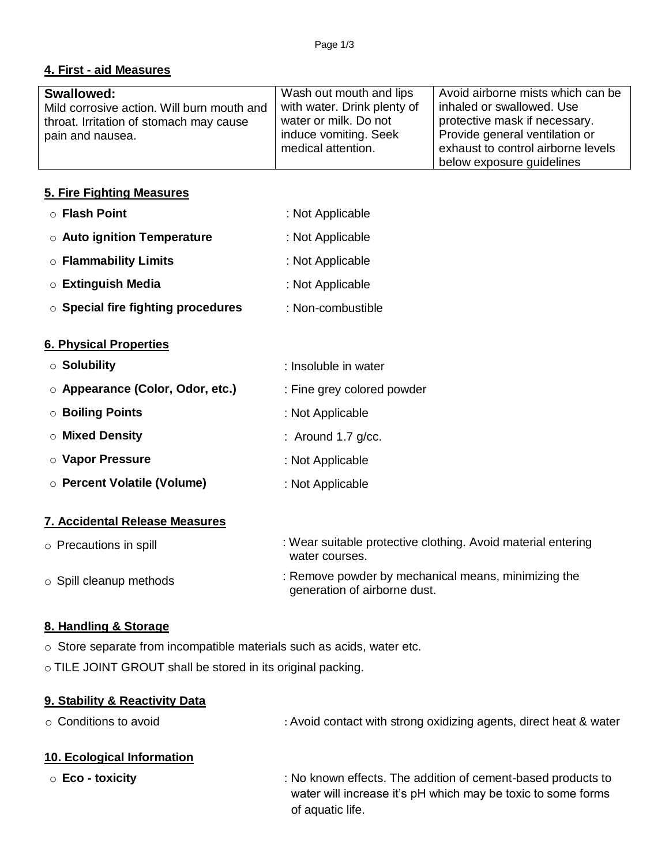# **4. First - aid Measures**

| <b>Swallowed:</b>                          | Wash out mouth and lips     | Avoid airborne mists which can be  |
|--------------------------------------------|-----------------------------|------------------------------------|
| Mild corrosive action. Will burn mouth and | with water. Drink plenty of | inhaled or swallowed. Use          |
| throat. Irritation of stomach may cause    | water or milk. Do not       | protective mask if necessary.      |
| pain and nausea.                           | induce vomiting. Seek       | Provide general ventilation or     |
|                                            | medical attention.          | exhaust to control airborne levels |
|                                            |                             | below exposure guidelines          |

# **5. Fire Fighting Measures**

| : Not Applicable |
|------------------|
| : Not Applicable |
| : Not Applicable |
| : Not Applicable |
|                  |

o **Special fire fighting procedures** : Non-combustible

### **6. Physical Properties**

| $\circ$ Solubility               | : Insoluble in water       |
|----------------------------------|----------------------------|
| ○ Appearance (Color, Odor, etc.) | : Fine grey colored powder |
| ○ Boiling Points                 | : Not Applicable           |
| $\circ$ Mixed Density            | : Around 1.7 $g/cc$ .      |
| ○ Vapor Pressure                 | : Not Applicable           |
| ○ Percent Volatile (Volume)      | : Not Applicable           |
|                                  |                            |

# **7. Accidental Release Measures**

| $\circ$ Precautions in spill  | : Wear suitable protective clothing. Avoid material entering<br>water courses.      |
|-------------------------------|-------------------------------------------------------------------------------------|
| $\circ$ Spill cleanup methods | : Remove powder by mechanical means, minimizing the<br>generation of airborne dust. |

# **8. Handling & Storage**

o Store separate from incompatible materials such as acids, water etc.

o TILE JOINT GROUT shall be stored in its original packing.

# **9. Stability & Reactivity Data**

#### **10. Ecological Information**

o **Eco - toxicity** : No known effects. The addition of cement-based products to water will increase it's pH which may be toxic to some forms of aquatic life.